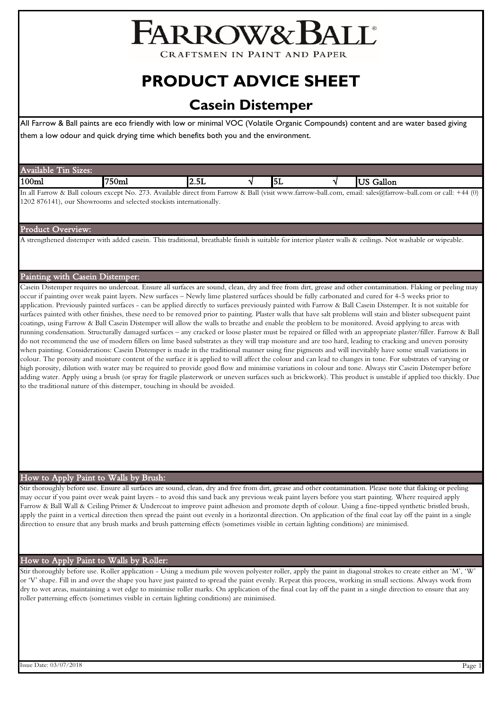# FARROW&BALL

**CRAFTSMEN IN PAINT AND PAPER** 

## **PRODUCT ADVICE SHEET**

### **Casein Distemper**

All Farrow & Ball paints are eco friendly with low or minimal VOC (Volatile Organic Compounds) content and are water based giving them a low odour and quick drying time which benefits both you and the environment.

In all Farrow & Ball colours except No. 273. Available direct from Farrow & Ball (visit www.farrow-ball.com, email: sales@farrow-ball.com or call: +44 (0) 1202 876141), our Showrooms and selected stockists internationally.

#### Product Overview:

A strengthened distemper with added casein. This traditional, breathable finish is suitable for interior plaster walls & ceilings. Not washable or wipeable.

#### Painting with Casein Distemper:

Casein Distemper requires no undercoat. Ensure all surfaces are sound, clean, dry and free from dirt, grease and other contamination. Flaking or peeling may occur if painting over weak paint layers. New surfaces – Newly lime plastered surfaces should be fully carbonated and cured for 4-5 weeks prior to application. Previously painted surfaces - can be applied directly to surfaces previously painted with Farrow & Ball Casein Distemper. It is not suitable for surfaces painted with other finishes, these need to be removed prior to painting. Plaster walls that have salt problems will stain and blister subsequent paint coatings, using Farrow & Ball Casein Distemper will allow the walls to breathe and enable the problem to be monitored. Avoid applying to areas with running condensation. Structurally damaged surfaces – any cracked or loose plaster must be repaired or filled with an appropriate plaster/filler. Farrow & Ball do not recommend the use of modern fillers on lime based substrates as they will trap moisture and are too hard, leading to cracking and uneven porosity when painting. Considerations: Casein Distemper is made in the traditional manner using fine pigments and will inevitably have some small variations in colour. The porosity and moisture content of the surface it is applied to will affect the colour and can lead to changes in tone. For substrates of varying or high porosity, dilution with water may be required to provide good flow and minimise variations in colour and tone. Always stir Casein Distemper before adding water. Apply using a brush (or spray for fragile plasterwork or uneven surfaces such as brickwork). This product is unstable if applied too thickly. Due to the traditional nature of this distemper, touching in should be avoided.

#### How to Apply Paint to Walls by Brush:

Stir thoroughly before use. Ensure all surfaces are sound, clean, dry and free from dirt, grease and other contamination. Please note that flaking or peeling may occur if you paint over weak paint layers - to avoid this sand back any previous weak paint layers before you start painting. Where required apply Farrow & Ball Wall & Ceiling Primer & Undercoat to improve paint adhesion and promote depth of colour. Using a fine-tipped synthetic bristled brush, apply the paint in a vertical direction then spread the paint out evenly in a horizontal direction. On application of the final coat lay off the paint in a single direction to ensure that any brush marks and brush patterning effects (sometimes visible in certain lighting conditions) are minimised.

#### How to Apply Paint to Walls by Roller:

Stir thoroughly before use. Roller application - Using a medium pile woven polyester roller, apply the paint in diagonal strokes to create either an 'M', 'W' or 'V' shape. Fill in and over the shape you have just painted to spread the paint evenly. Repeat this process, working in small sections. Always work from dry to wet areas, maintaining a wet edge to minimise roller marks. On application of the final coat lay off the paint in a single direction to ensure that any roller patterning effects (sometimes visible in certain lighting conditions) are minimised.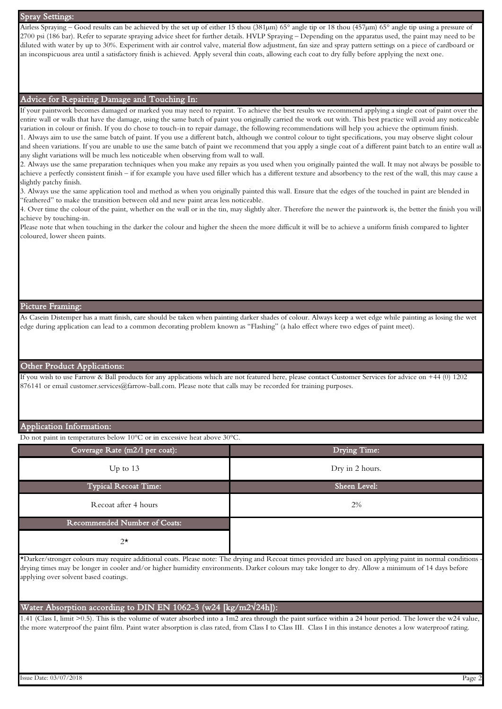| <b>Spray Settings:</b>                                                                                                                                                                                                                                                                                                                                                                                                                                                                                                                                                                                                                                                                                                                                                                                                                                                                                                                                                                                                                                                                                                                                                                                                                                                                                                                                                                                                                                                                                                                                                                                                                                                                                                                                                                                                                                                                                                           |
|----------------------------------------------------------------------------------------------------------------------------------------------------------------------------------------------------------------------------------------------------------------------------------------------------------------------------------------------------------------------------------------------------------------------------------------------------------------------------------------------------------------------------------------------------------------------------------------------------------------------------------------------------------------------------------------------------------------------------------------------------------------------------------------------------------------------------------------------------------------------------------------------------------------------------------------------------------------------------------------------------------------------------------------------------------------------------------------------------------------------------------------------------------------------------------------------------------------------------------------------------------------------------------------------------------------------------------------------------------------------------------------------------------------------------------------------------------------------------------------------------------------------------------------------------------------------------------------------------------------------------------------------------------------------------------------------------------------------------------------------------------------------------------------------------------------------------------------------------------------------------------------------------------------------------------|
| Airless Spraying – Good results can be achieved by the set up of either 15 thou (381µm) 65° angle tip or 18 thou (457µm) 65° angle tip using a pressure of<br>2700 psi (186 bar). Refer to separate spraying advice sheet for further details. HVLP Spraying – Depending on the apparatus used, the paint may need to be<br>diluted with water by up to 30%. Experiment with air control valve, material flow adjustment, fan size and spray pattern settings on a piece of cardboard or<br>an inconspicuous area until a satisfactory finish is achieved. Apply several thin coats, allowing each coat to dry fully before applying the next one.                                                                                                                                                                                                                                                                                                                                                                                                                                                                                                                                                                                                                                                                                                                                                                                                                                                                                                                                                                                                                                                                                                                                                                                                                                                                               |
| Advice for Repairing Damage and Touching In:                                                                                                                                                                                                                                                                                                                                                                                                                                                                                                                                                                                                                                                                                                                                                                                                                                                                                                                                                                                                                                                                                                                                                                                                                                                                                                                                                                                                                                                                                                                                                                                                                                                                                                                                                                                                                                                                                     |
| If your paintwork becomes damaged or marked you may need to repaint. To achieve the best results we recommend applying a single coat of paint over the<br>entire wall or walls that have the damage, using the same batch of paint you originally carried the work out with. This best practice will avoid any noticeable<br>variation in colour or finish. If you do chose to touch-in to repair damage, the following recommendations will help you achieve the optimum finish.<br>1. Always aim to use the same batch of paint. If you use a different batch, although we control colour to tight specifications, you may observe slight colour<br>and sheen variations. If you are unable to use the same batch of paint we recommend that you apply a single coat of a different paint batch to an entire wall as<br>any slight variations will be much less noticeable when observing from wall to wall.<br>2. Always use the same preparation techniques when you make any repairs as you used when you originally painted the wall. It may not always be possible to<br>achieve a perfectly consistent finish – if for example you have used filler which has a different texture and absorbency to the rest of the wall, this may cause a<br>slightly patchy finish.<br>3. Always use the same application tool and method as when you originally painted this wall. Ensure that the edges of the touched in paint are blended in<br>"feathered" to make the transition between old and new paint areas less noticeable.<br>4. Over time the colour of the paint, whether on the wall or in the tin, may slightly alter. Therefore the newer the paintwork is, the better the finish you will<br>achieve by touching-in.<br>Please note that when touching in the darker the colour and higher the sheen the more difficult it will be to achieve a uniform finish compared to lighter<br>coloured, lower sheen paints. |
| Picture Framing:                                                                                                                                                                                                                                                                                                                                                                                                                                                                                                                                                                                                                                                                                                                                                                                                                                                                                                                                                                                                                                                                                                                                                                                                                                                                                                                                                                                                                                                                                                                                                                                                                                                                                                                                                                                                                                                                                                                 |
| As Casein Distemper has a matt finish, care should be taken when painting darker shades of colour. Always keep a wet edge while painting as losing the wet<br>edge during application can lead to a common decorating problem known as "Flashing" (a halo effect where two edges of paint meet).                                                                                                                                                                                                                                                                                                                                                                                                                                                                                                                                                                                                                                                                                                                                                                                                                                                                                                                                                                                                                                                                                                                                                                                                                                                                                                                                                                                                                                                                                                                                                                                                                                 |
| <b>Other Product Applications:</b>                                                                                                                                                                                                                                                                                                                                                                                                                                                                                                                                                                                                                                                                                                                                                                                                                                                                                                                                                                                                                                                                                                                                                                                                                                                                                                                                                                                                                                                                                                                                                                                                                                                                                                                                                                                                                                                                                               |
| If you wish to use Farrow & Ball products for any applications which are not featured here, please contact Customer Services for advice on +44 (0) 1202<br>876141 or email customer.services@farrow-ball.com. Please note that calls may be recorded for training purposes.                                                                                                                                                                                                                                                                                                                                                                                                                                                                                                                                                                                                                                                                                                                                                                                                                                                                                                                                                                                                                                                                                                                                                                                                                                                                                                                                                                                                                                                                                                                                                                                                                                                      |

#### Application Information:

Do not paint in temperatures below 10°C or in excessive heat above 30°C.

| Coverage Rate (m2/l per coat): | Drying Time:    |
|--------------------------------|-----------------|
| Up to $13$                     | Dry in 2 hours. |
| <b>Typical Recoat Time:</b>    | Sheen Level:    |
| Recoat after 4 hours           | 2%              |
| Recommended Number of Coats:   |                 |
| $2^{\star}$                    |                 |

\*Darker/stronger colours may require additional coats. Please note: The drying and Recoat times provided are based on applying paint in normal conditions drying times may be longer in cooler and/or higher humidity environments. Darker colours may take longer to dry. Allow a minimum of 14 days before applying over solvent based coatings.

#### Water Absorption according to DIN EN 1062-3 (w24 [kg/m2√24h]):

1.41 (Class I, limit >0.5). This is the volume of water absorbed into a 1m2 area through the paint surface within a 24 hour period. The lower the w24 value, the more waterproof the paint film. Paint water absorption is class rated, from Class I to Class III. Class I in this instance denotes a low waterproof rating.